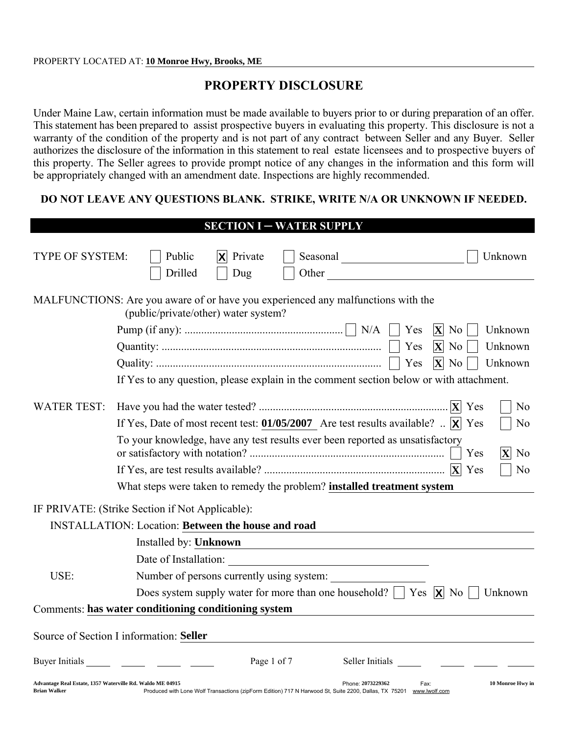# PROPERTY DISCLOSURE

Under Maine Law, certain information must be made available to buyers prior to or during preparation of an offer. This statement has been prepared to assist prospective buyers in evaluating this property. This disclosure is not a warranty of the condition of the property and is not part of any contract between Seller and any Buyer. Seller authorizes the disclosure of the information in this statement to real estate licensees and to prospective buyers of this property. The Seller agrees to provide prompt notice of any changes in the information and this form will be appropriately changed with an amendment date. Inspections are highly recommended.

#### DO NOT LEAVE ANY QUESTIONS BLANK. STRIKE, WRITE N/A OR UNKNOWN IF NEEDED.

|                                                                                                                                                                                                       | <b>SECTION I - WATER SUPPLY</b>                                                                                                                                      |  |  |                       |
|-------------------------------------------------------------------------------------------------------------------------------------------------------------------------------------------------------|----------------------------------------------------------------------------------------------------------------------------------------------------------------------|--|--|-----------------------|
| <b>TYPE OF SYSTEM:</b>                                                                                                                                                                                | Private<br>Public<br>Seasonal expression of the seasonal<br>Unknown<br>X<br>Drilled<br>Other<br>Dug                                                                  |  |  |                       |
|                                                                                                                                                                                                       | MALFUNCTIONS: Are you aware of or have you experienced any malfunctions with the<br>(public/private/other) water system?                                             |  |  |                       |
|                                                                                                                                                                                                       | Yes<br>$ \mathbf{X} $<br>Unknown<br>N <sub>0</sub>                                                                                                                   |  |  |                       |
|                                                                                                                                                                                                       | $ \mathbf{X} $<br>Unknown<br>Yes<br>N <sub>0</sub>                                                                                                                   |  |  |                       |
|                                                                                                                                                                                                       | $ \mathbf{X} $ No<br>Yes<br>Unknown                                                                                                                                  |  |  |                       |
|                                                                                                                                                                                                       | If Yes to any question, please explain in the comment section below or with attachment.                                                                              |  |  |                       |
| <b>WATER TEST:</b>                                                                                                                                                                                    | N <sub>0</sub>                                                                                                                                                       |  |  |                       |
| If Yes, Date of most recent test: 01/05/2007 Are test results available? $\mathbb{R} \times  \mathsf{X} $ Yes<br>To your knowledge, have any test results ever been reported as unsatisfactory<br>Yes |                                                                                                                                                                      |  |  |                       |
|                                                                                                                                                                                                       |                                                                                                                                                                      |  |  | N <sub>0</sub><br>Yes |
|                                                                                                                                                                                                       | What steps were taken to remedy the problem? installed treatment system                                                                                              |  |  |                       |
|                                                                                                                                                                                                       | IF PRIVATE: (Strike Section if Not Applicable):                                                                                                                      |  |  |                       |
|                                                                                                                                                                                                       | <b>INSTALLATION: Location: Between the house and road</b>                                                                                                            |  |  |                       |
|                                                                                                                                                                                                       | Installed by: Unknown                                                                                                                                                |  |  |                       |
|                                                                                                                                                                                                       | Date of Installation:                                                                                                                                                |  |  |                       |
| USE:                                                                                                                                                                                                  | Number of persons currently using system:                                                                                                                            |  |  |                       |
|                                                                                                                                                                                                       | Does system supply water for more than one household? $\Box$ Yes $\chi$ No<br>Unknown                                                                                |  |  |                       |
|                                                                                                                                                                                                       | Comments: has water conditioning conditioning system                                                                                                                 |  |  |                       |
|                                                                                                                                                                                                       | Source of Section I information: Seller                                                                                                                              |  |  |                       |
| Buyer Initials                                                                                                                                                                                        | Page 1 of 7<br>Seller Initials                                                                                                                                       |  |  |                       |
| Advantage Real Estate, 1357 Waterville Rd. Waldo ME 04915<br><b>Brian Walker</b>                                                                                                                      | Phone: 2073229362<br>10 Monroe Hwy in<br>Fax:<br>Produced with Lone Wolf Transactions (zipForm Edition) 717 N Harwood St, Suite 2200, Dallas, TX 75201 www.lwolf.com |  |  |                       |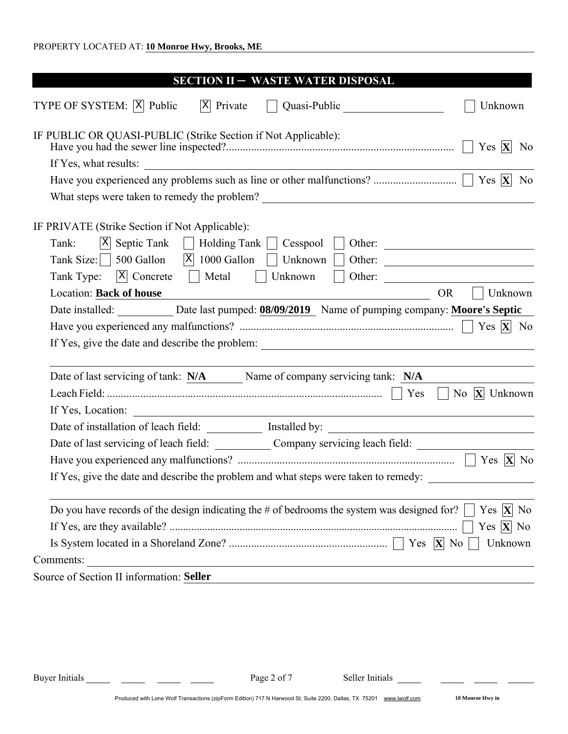| <b>SECTION II - WASTE WATER DISPOSAL</b>                                                                                                                                                         |
|--------------------------------------------------------------------------------------------------------------------------------------------------------------------------------------------------|
| $ X $ Private<br>TYPE OF SYSTEM:  X  Public<br>Quasi-Public<br>Unknown                                                                                                                           |
| IF PUBLIC OR QUASI-PUBLIC (Strike Section if Not Applicable):<br>Yes $ \mathbf{X} $<br>N <sub>0</sub>                                                                                            |
| If Yes, what results:                                                                                                                                                                            |
| N <sub>0</sub>                                                                                                                                                                                   |
|                                                                                                                                                                                                  |
| IF PRIVATE (Strike Section if Not Applicable):<br>$ X $ Septic Tank<br>Holding Tank     Cesspool<br>Tank:<br>Other:<br>Tank Size: $\vert$ 500 Gallon<br>$ X $ 1000 Gallon $  \cdot  $<br>Unknown |
| Other:<br>$ X $ Concrete<br>Metal<br>Tank Type:<br>Unknown                                                                                                                                       |
| <b>Location: Back of house</b><br><b>OR</b><br>Unknown                                                                                                                                           |
| Date installed: Date last pumped: 08/09/2019 Name of pumping company: Moore's Septic                                                                                                             |
| Yes $ \mathbf{X} $ No                                                                                                                                                                            |
|                                                                                                                                                                                                  |
|                                                                                                                                                                                                  |
| Date of last servicing of tank: N/A Name of company servicing tank: N/A                                                                                                                          |
| No $X$ Unknown                                                                                                                                                                                   |
|                                                                                                                                                                                                  |
|                                                                                                                                                                                                  |
| Date of last servicing of leach field: ____________ Company servicing leach field: ________________                                                                                              |
|                                                                                                                                                                                                  |
| If Yes, give the date and describe the problem and what steps were taken to remedy:                                                                                                              |
| Do you have records of the design indicating the $#$ of bedrooms the system was designed for?<br>Yes $ \mathbf{X} $ No                                                                           |
| Yes $ \mathbf{X} $ No                                                                                                                                                                            |
| Unknown                                                                                                                                                                                          |
| Comments:                                                                                                                                                                                        |
| Source of Section II information: Seller                                                                                                                                                         |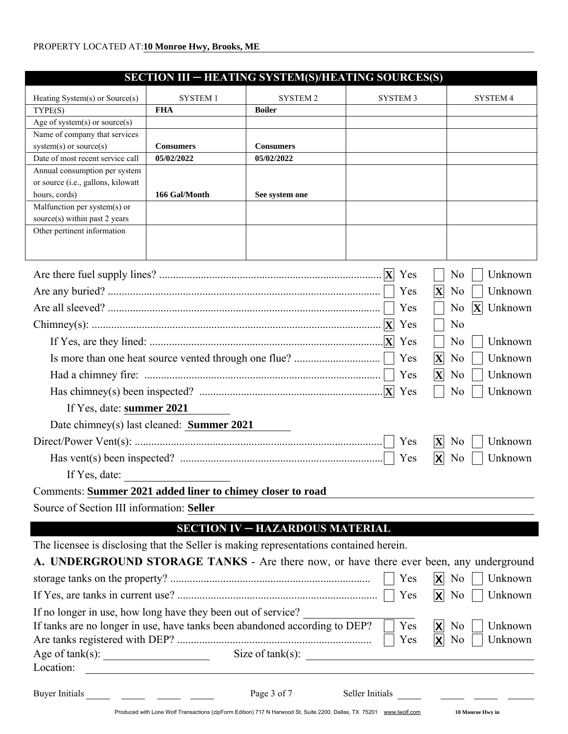| SECTION III – HEATING SYSTEM(S)/HEATING SOURCES(S)                                     |                                       |                                                                                                                     |                       |                                             |
|----------------------------------------------------------------------------------------|---------------------------------------|---------------------------------------------------------------------------------------------------------------------|-----------------------|---------------------------------------------|
| Heating System(s) or Source(s)                                                         | <b>SYSTEM1</b>                        | SYSTEM <sub>2</sub>                                                                                                 | <b>SYSTEM 3</b>       | <b>SYSTEM 4</b>                             |
| TYPE(S)                                                                                | <b>FHA</b>                            | <b>Boiler</b>                                                                                                       |                       |                                             |
| Age of system(s) or source(s)                                                          |                                       |                                                                                                                     |                       |                                             |
| Name of company that services                                                          |                                       |                                                                                                                     |                       |                                             |
| $system(s)$ or source $(s)$                                                            | <b>Consumers</b>                      | <b>Consumers</b>                                                                                                    |                       |                                             |
| Date of most recent service call                                                       | 05/02/2022                            | 05/02/2022                                                                                                          |                       |                                             |
| Annual consumption per system                                                          |                                       |                                                                                                                     |                       |                                             |
| or source (i.e., gallons, kilowatt                                                     |                                       |                                                                                                                     |                       |                                             |
| hours, cords)<br>Malfunction per system(s) or                                          | 166 Gal/Month                         | See system one                                                                                                      |                       |                                             |
| source(s) within past 2 years                                                          |                                       |                                                                                                                     |                       |                                             |
| Other pertinent information                                                            |                                       |                                                                                                                     |                       |                                             |
|                                                                                        |                                       |                                                                                                                     |                       |                                             |
|                                                                                        |                                       |                                                                                                                     |                       |                                             |
|                                                                                        |                                       |                                                                                                                     | Yes                   | Unknown<br>N <sub>o</sub>                   |
|                                                                                        |                                       |                                                                                                                     |                       |                                             |
|                                                                                        |                                       |                                                                                                                     | Yes                   | Unknown<br>$ \mathbf{X} $<br>N <sub>0</sub> |
|                                                                                        |                                       |                                                                                                                     | Yes                   | $ \mathbf{X} $ Unknown<br>N <sub>0</sub>    |
|                                                                                        |                                       |                                                                                                                     | Yes                   | N <sub>0</sub>                              |
|                                                                                        |                                       |                                                                                                                     | Yes                   | Unknown<br>N <sub>o</sub>                   |
|                                                                                        |                                       |                                                                                                                     | Yes                   | $ \mathbf{X} $<br>Unknown<br>N <sub>0</sub> |
|                                                                                        |                                       |                                                                                                                     | $ \mathbf{X} $<br>Yes | Unknown<br>N <sub>o</sub>                   |
|                                                                                        |                                       |                                                                                                                     | Yes                   | Unknown<br>N <sub>o</sub>                   |
| If Yes, date: summer 2021                                                              |                                       |                                                                                                                     |                       |                                             |
| Date chimney(s) last cleaned: Summer 2021                                              |                                       |                                                                                                                     |                       |                                             |
|                                                                                        |                                       |                                                                                                                     | Yes<br>$ \mathbf{X} $ | Unknown<br>N <sub>0</sub>                   |
|                                                                                        |                                       |                                                                                                                     | Yes                   | X<br>Unknown<br>No                          |
| If Yes, date: $\qquad \qquad$                                                          |                                       |                                                                                                                     |                       |                                             |
| Comments: Summer 2021 added liner to chimey closer to road                             |                                       |                                                                                                                     |                       |                                             |
| Source of Section III information: Seller                                              |                                       |                                                                                                                     |                       |                                             |
|                                                                                        |                                       |                                                                                                                     |                       |                                             |
|                                                                                        |                                       | <b>SECTION IV - HAZARDOUS MATERIAL</b>                                                                              |                       |                                             |
| The licensee is disclosing that the Seller is making representations contained herein. |                                       |                                                                                                                     |                       |                                             |
| A. UNDERGROUND STORAGE TANKS - Are there now, or have there ever been, any underground |                                       |                                                                                                                     |                       |                                             |
|                                                                                        |                                       |                                                                                                                     | Yes                   | Unknown<br>X<br>N <sub>0</sub>              |
|                                                                                        |                                       |                                                                                                                     | Yes                   | Unknown<br>N <sub>0</sub><br>X              |
| If no longer in use, how long have they been out of service?                           |                                       |                                                                                                                     |                       |                                             |
| If tanks are no longer in use, have tanks been abandoned according to DEP?             |                                       |                                                                                                                     | Yes                   | ΙX<br>Unknown<br>N <sub>0</sub>             |
|                                                                                        |                                       |                                                                                                                     | Yes                   | ΙX<br>Unknown<br>N <sub>o</sub>             |
|                                                                                        |                                       | Size of $tank(s)$ :                                                                                                 |                       |                                             |
| Location:                                                                              |                                       |                                                                                                                     |                       |                                             |
|                                                                                        |                                       |                                                                                                                     |                       |                                             |
| Buyer Initials                                                                         | <u> 1999 - Andrea Maria (b. 1984)</u> | Page 3 of 7                                                                                                         | Seller Initials       |                                             |
|                                                                                        |                                       | Produced with Lone Wolf Transactions (zipForm Edition) 717 N Harwood St, Suite 2200, Dallas, TX 75201 www.lwolf.com |                       | 10 Monroe Hwy in                            |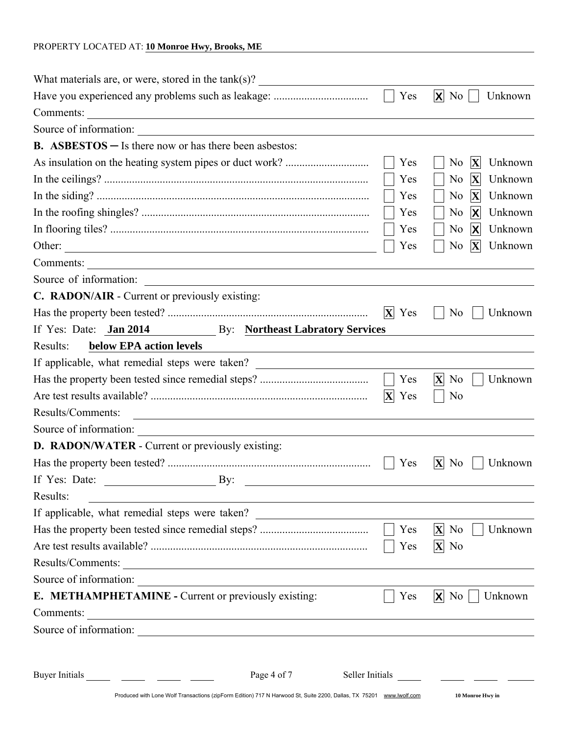| What materials are, or were, stored in the $tank(s)$ ?                                                                                    |                       |                                                          |
|-------------------------------------------------------------------------------------------------------------------------------------------|-----------------------|----------------------------------------------------------|
|                                                                                                                                           | Yes                   | Unknown<br>$ {\mathsf X} $<br>N <sub>0</sub>             |
| Comments:<br><u> 1989 - Johann Barn, fransk politik (f. 1989)</u>                                                                         |                       |                                                          |
| Source of information:                                                                                                                    |                       |                                                          |
| <b>B.</b> ASBESTOS $-$ Is there now or has there been asbestos:                                                                           |                       |                                                          |
|                                                                                                                                           | Yes                   | $ \mathbf{X} $<br>Unknown<br>N <sub>0</sub>              |
|                                                                                                                                           | Yes                   | $ \mathbf{X} $<br>N <sub>0</sub><br>Unknown              |
|                                                                                                                                           | Yes                   | $ \mathbf{X} $<br>N <sub>0</sub><br>Unknown              |
|                                                                                                                                           | Yes                   | N <sub>0</sub><br>$ \boldsymbol{\mathsf{X}} $<br>Unknown |
|                                                                                                                                           | Yes                   | N <sub>0</sub><br>$ \boldsymbol{\mathsf{X}} $<br>Unknown |
| Other:<br><u> 1989 - Johann Stoff, deutscher Stoff, der Stoff, der Stoff, der Stoff, der Stoff, der Stoff, der Stoff, der S</u>           | Yes                   | N <sub>0</sub><br>$ \mathbf{X} $<br>Unknown              |
| Comments:                                                                                                                                 |                       |                                                          |
| Source of information:                                                                                                                    |                       |                                                          |
| <b>C. RADON/AIR - Current or previously existing:</b>                                                                                     |                       |                                                          |
|                                                                                                                                           | $ \mathbf{X} $<br>Yes | N <sub>0</sub><br>Unknown                                |
| If Yes: Date: Jan 2014 By: Northeast Labratory Services                                                                                   |                       |                                                          |
| below EPA action levels<br>Results:                                                                                                       |                       |                                                          |
| If applicable, what remedial steps were taken? _________________________________                                                          |                       |                                                          |
|                                                                                                                                           | Yes                   | $\mathbf{X}$ No<br>Unknown                               |
|                                                                                                                                           | $ \mathbf{X} $<br>Yes | N <sub>0</sub>                                           |
| Results/Comments:<br><u> Alexandria de la contrada de la contrada de la contrada de la contrada de la contrada de la contrada de la c</u> |                       |                                                          |
| Source of information:                                                                                                                    |                       |                                                          |
| D. RADON/WATER - Current or previously existing:                                                                                          |                       |                                                          |
|                                                                                                                                           | Yes                   | Unknown<br>$ \mathbf{X} $<br>N <sub>0</sub>              |
| If Yes: Date:<br>$\overline{\phantom{a}}$ By:                                                                                             |                       |                                                          |
| Results:                                                                                                                                  |                       |                                                          |
| If applicable, what remedial steps were taken? _________________________________                                                          |                       |                                                          |
|                                                                                                                                           | Yes                   | $\mathbf{X}$ No<br>Unknown                               |
|                                                                                                                                           | Yes                   | $ X $ No                                                 |
| Results/Comments:                                                                                                                         |                       |                                                          |
| Source of information:                                                                                                                    |                       |                                                          |
| E. METHAMPHETAMINE - Current or previously existing:                                                                                      | Yes                   | $\mathsf{X}$ No<br>Unknown                               |
| Comments:<br><u> 1980 - Andrea Station, amerikansk politik (d. 1980)</u>                                                                  |                       |                                                          |
|                                                                                                                                           |                       |                                                          |
|                                                                                                                                           |                       |                                                          |
| Page 4 of 7<br>Buyer Initials                                                                                                             | Seller Initials       |                                                          |
| Produced with Lone Wolf Transactions (zipForm Edition) 717 N Harwood St, Suite 2200, Dallas, TX 75201 www.lwolf.com                       |                       | 10 Monroe Hwy in                                         |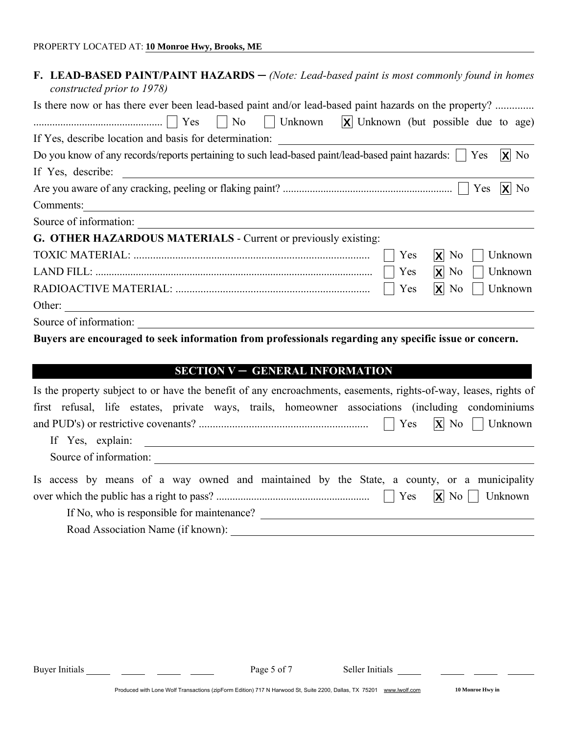| F. LEAD-BASED PAINT/PAINT HAZARDS $-$ (Note: Lead-based paint is most commonly found in homes<br>constructed prior to 1978) |
|-----------------------------------------------------------------------------------------------------------------------------|
| Is there now or has there ever been lead-based paint and/or lead-based paint hazards on the property?                       |
|                                                                                                                             |
|                                                                                                                             |
| $ X $ No<br>Do you know of any records/reports pertaining to such lead-based paint/lead-based paint hazards:     Yes        |
| If Yes, describe:<br><u> 1989 - John Stein, Amerikaansk politiker (* 1918)</u>                                              |
| $ X $ No                                                                                                                    |
| Comments:<br><u> 1989 - Johann Stein, mars an de Brasilia (b. 1989)</u>                                                     |
| Source of information:                                                                                                      |
| G. OTHER HAZARDOUS MATERIALS - Current or previously existing:                                                              |
| Yes<br>$\mathsf{X}$ No<br>Unknown                                                                                           |
| $ \mathbf{X} $ No<br>Yes<br>Unknown                                                                                         |
| $\mathsf{X}$ No<br>Yes<br>Unknown                                                                                           |
| Other:                                                                                                                      |
| Source of information:                                                                                                      |
| Buyers are encouraged to seek information from professionals regarding any specific issue or concern.                       |

### SECTION V - GENERAL INFORMATION

| Is the property subject to or have the benefit of any encroachments, easements, rights-of-way, leases, rights of |
|------------------------------------------------------------------------------------------------------------------|
| first refusal, life estates, private ways, trails, homeowner associations (including condominiums                |
|                                                                                                                  |
| If Yes, explain:                                                                                                 |
| Source of information:                                                                                           |
| Is access by means of a way owned and maintained by the State, a county, or a municipality                       |
|                                                                                                                  |
| If No, who is responsible for maintenance?                                                                       |
| Road Association Name (if known):                                                                                |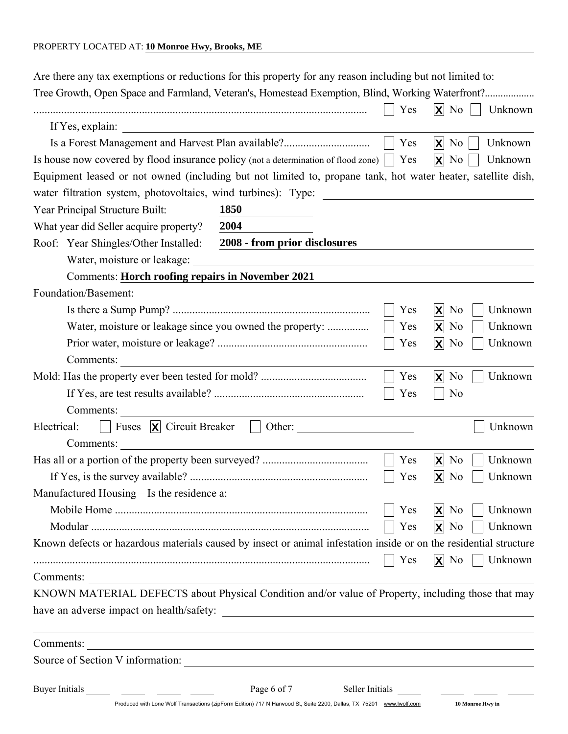| Are there any tax exemptions or reductions for this property for any reason including but not limited to:          |                                                                                                                                    |                 |                                                          |
|--------------------------------------------------------------------------------------------------------------------|------------------------------------------------------------------------------------------------------------------------------------|-----------------|----------------------------------------------------------|
| Tree Growth, Open Space and Farmland, Veteran's, Homestead Exemption, Blind, Working Waterfront?                   |                                                                                                                                    |                 |                                                          |
| If Yes, explain:                                                                                                   |                                                                                                                                    | Yes             | $\mathsf{X}$ No<br>Unknown                               |
| Is a Forest Management and Harvest Plan available?                                                                 |                                                                                                                                    | Yes             | $\mathsf{X}$ No<br>Unknown                               |
| Is house now covered by flood insurance policy (not a determination of flood zone)                                 |                                                                                                                                    | Yes             | $ \mathsf{X} $<br>N <sub>0</sub><br>Unknown              |
| Equipment leased or not owned (including but not limited to, propane tank, hot water heater, satellite dish,       |                                                                                                                                    |                 |                                                          |
| water filtration system, photovoltaics, wind turbines): Type:                                                      |                                                                                                                                    |                 |                                                          |
| Year Principal Structure Built:                                                                                    | <b>1850</b>                                                                                                                        |                 |                                                          |
| What year did Seller acquire property?                                                                             | 2004                                                                                                                               |                 |                                                          |
| Roof: Year Shingles/Other Installed:                                                                               | 2008 - from prior disclosures                                                                                                      |                 |                                                          |
| Water, moisture or leakage:                                                                                        |                                                                                                                                    |                 |                                                          |
| <b>Comments: Horch roofing repairs in November 2021</b>                                                            |                                                                                                                                    |                 |                                                          |
| Foundation/Basement:                                                                                               |                                                                                                                                    |                 |                                                          |
|                                                                                                                    |                                                                                                                                    | Yes             | $X$ No<br>Unknown                                        |
|                                                                                                                    | Water, moisture or leakage since you owned the property:                                                                           | Yes             | $ X $ No<br>Unknown                                      |
|                                                                                                                    |                                                                                                                                    | Yes             | $X$ No<br>Unknown                                        |
| Comments:                                                                                                          |                                                                                                                                    |                 |                                                          |
|                                                                                                                    |                                                                                                                                    | Yes             | ΙXΙ<br>N <sub>0</sub><br>Unknown                         |
|                                                                                                                    |                                                                                                                                    | Yes             | N <sub>0</sub>                                           |
| Comments:                                                                                                          |                                                                                                                                    |                 |                                                          |
| Fuses $ \mathbf{X} $ Circuit Breaker<br>Electrical:                                                                | Other:<br>$\mathcal{L}$                                                                                                            |                 | Unknown                                                  |
| Comments:                                                                                                          |                                                                                                                                    |                 |                                                          |
|                                                                                                                    |                                                                                                                                    | Yes             | $ \boldsymbol{\mathsf{x}} $<br>Unknown<br>N <sub>0</sub> |
|                                                                                                                    |                                                                                                                                    | Yes             | $ \mathsf{X} $<br>Unknown<br>N <sub>0</sub>              |
| Manufactured Housing – Is the residence a:                                                                         |                                                                                                                                    |                 |                                                          |
|                                                                                                                    |                                                                                                                                    | Yes             | $\mathsf{X}$ No<br>Unknown                               |
|                                                                                                                    |                                                                                                                                    | Yes             | $ X $ No<br>Unknown                                      |
| Known defects or hazardous materials caused by insect or animal infestation inside or on the residential structure |                                                                                                                                    |                 |                                                          |
|                                                                                                                    |                                                                                                                                    | Yes             | $ X $ No<br>Unknown                                      |
| Comments:                                                                                                          |                                                                                                                                    |                 |                                                          |
| KNOWN MATERIAL DEFECTS about Physical Condition and/or value of Property, including those that may                 |                                                                                                                                    |                 |                                                          |
| have an adverse impact on health/safety:                                                                           |                                                                                                                                    |                 |                                                          |
| Comments:                                                                                                          | <u> 1989 - Johann Stoff, deutscher Stoffen und der Stoffen und der Stoffen und der Stoffen und der Stoffen und der</u>             |                 |                                                          |
|                                                                                                                    |                                                                                                                                    |                 |                                                          |
| Buyer Initials                                                                                                     | Page 6 of 7<br>Produced with Lone Wolf Transactions (zipForm Edition) 717 N Harwood St, Suite 2200, Dallas, TX 75201 www.lwolf.com | Seller Initials | 10 Monroe Hwy in                                         |